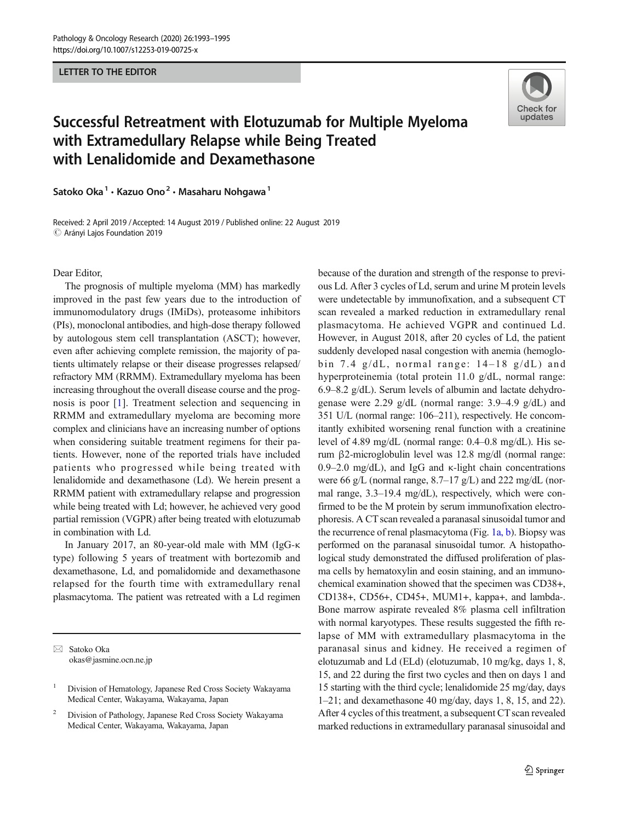**LETTER TO THE EDITOR** LETTER TO THE EDITOR



## Successful Retreatment with Elotuzumab for Multiple Myeloma with Extramedullary Relapse while Being Treated with Lenalidomide and Dexamethasone

Satoko Oka<sup>1</sup> · Kazuo Ono<sup>2</sup> · Masaharu Nohgawa<sup>1</sup>

Received: 2 April 2019 /Accepted: 14 August 2019 / Published online: 22 August 2019 $\odot$  Arányi Lajos Foundation 2019

Dear Editor,

The prognosis of multiple myeloma (MM) has markedly improved in the past few years due to the introduction of immunomodulatory drugs (IMiDs), proteasome inhibitors (PIs), monoclonal antibodies, and high-dose therapy followed by autologous stem cell transplantation (ASCT); however, even after achieving complete remission, the majority of patients ultimately relapse or their disease progresses relapsed/ refractory MM (RRMM). Extramedullary myeloma has been increasing throughout the overall disease course and the prognosis is poor [[1\]](#page-2-0). Treatment selection and sequencing in RRMM and extramedullary myeloma are becoming more complex and clinicians have an increasing number of options when considering suitable treatment regimens for their patients. However, none of the reported trials have included patients who progressed while being treated with lenalidomide and dexamethasone (Ld). We herein present a RRMM patient with extramedullary relapse and progression while being treated with Ld; however, he achieved very good partial remission (VGPR) after being treated with elotuzumab in combination with Ld.

In January 2017, an 80-year-old male with MM (IgG-κ type) following 5 years of treatment with bortezomib and dexamethasone, Ld, and pomalidomide and dexamethasone relapsed for the fourth time with extramedullary renal plasmacytoma. The patient was retreated with a Ld regimen

 $\boxtimes$  Satoko Oka [okas@jasmine.ocn.ne.jp](mailto:okas@jasmine.ocn.ne.jp) because of the duration and strength of the response to previous Ld. After 3 cycles of Ld, serum and urine M protein levels were undetectable by immunofixation, and a subsequent CT scan revealed a marked reduction in extramedullary renal plasmacytoma. He achieved VGPR and continued Ld. However, in August 2018, after 20 cycles of Ld, the patient suddenly developed nasal congestion with anemia (hemoglobin 7.4  $g/dL$ , normal range: 14–18  $g/dL$ ) and hyperproteinemia (total protein 11.0 g/dL, normal range: 6.9–8.2 g/dL). Serum levels of albumin and lactate dehydrogenase were 2.29 g/dL (normal range: 3.9–4.9 g/dL) and 351 U/L (normal range: 106–211), respectively. He concomitantly exhibited worsening renal function with a creatinine level of 4.89 mg/dL (normal range: 0.4–0.8 mg/dL). His serum β2-microglobulin level was 12.8 mg/dl (normal range: 0.9–2.0 mg/dL), and IgG and κ-light chain concentrations were 66 g/L (normal range, 8.7–17 g/L) and 222 mg/dL (normal range, 3.3–19.4 mg/dL), respectively, which were confirmed to be the M protein by serum immunofixation electrophoresis. A CT scan revealed a paranasal sinusoidal tumor and the recurrence of renal plasmacytoma (Fig. [1a, b\)](#page-1-0). Biopsy was performed on the paranasal sinusoidal tumor. A histopathological study demonstrated the diffused proliferation of plasma cells by hematoxylin and eosin staining, and an immunochemical examination showed that the specimen was CD38+, CD138+, CD56+, CD45+, MUM1+, kappa+, and lambda-. Bone marrow aspirate revealed 8% plasma cell infiltration with normal karyotypes. These results suggested the fifth relapse of MM with extramedullary plasmacytoma in the paranasal sinus and kidney. He received a regimen of elotuzumab and Ld (ELd) (elotuzumab, 10 mg/kg, days 1, 8, 15, and 22 during the first two cycles and then on days 1 and 15 starting with the third cycle; lenalidomide 25 mg/day, days 1–21; and dexamethasone 40 mg/day, days 1, 8, 15, and 22). After 4 cycles of this treatment, a subsequent CT scan revealed marked reductions in extramedullary paranasal sinusoidal and

<sup>&</sup>lt;sup>1</sup> Division of Hematology, Japanese Red Cross Society Wakayama Medical Center, Wakayama, Wakayama, Japan

<sup>2</sup> Division of Pathology, Japanese Red Cross Society Wakayama Medical Center, Wakayama, Wakayama, Japan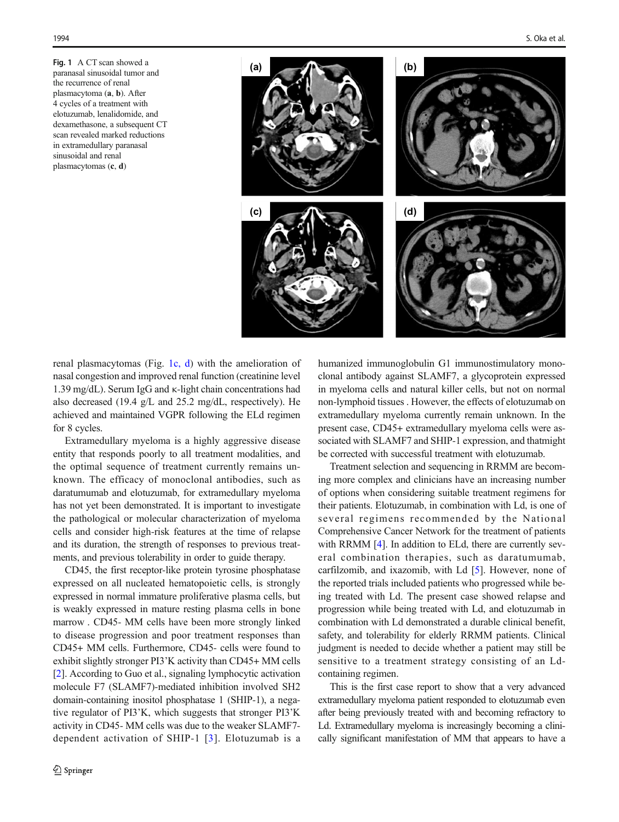<span id="page-1-0"></span>Fig. 1 A CT scan showed a paranasal sinusoidal tumor and the recurrence of renal plasmacytoma (a, b). After 4 cycles of a treatment with elotuzumab, lenalidomide, and dexamethasone, a subsequent CT scan revealed marked reductions in extramedullary paranasal sinusoidal and renal plasmacytomas (c, d)



renal plasmacytomas (Fig. 1c, d) with the amelioration of nasal congestion and improved renal function (creatinine level 1.39 mg/dL). Serum IgG and κ-light chain concentrations had also decreased (19.4 g/L and 25.2 mg/dL, respectively). He achieved and maintained VGPR following the ELd regimen for 8 cycles.

Extramedullary myeloma is a highly aggressive disease entity that responds poorly to all treatment modalities, and the optimal sequence of treatment currently remains unknown. The efficacy of monoclonal antibodies, such as daratumumab and elotuzumab, for extramedullary myeloma has not yet been demonstrated. It is important to investigate the pathological or molecular characterization of myeloma cells and consider high-risk features at the time of relapse and its duration, the strength of responses to previous treatments, and previous tolerability in order to guide therapy.

CD45, the first receptor-like protein tyrosine phosphatase expressed on all nucleated hematopoietic cells, is strongly expressed in normal immature proliferative plasma cells, but is weakly expressed in mature resting plasma cells in bone marrow . CD45- MM cells have been more strongly linked to disease progression and poor treatment responses than CD45+ MM cells. Furthermore, CD45- cells were found to exhibit slightly stronger PI3'K activity than CD45+ MM cells [\[2](#page-2-0)]. According to Guo et al., signaling lymphocytic activation molecule F7 (SLAMF7)-mediated inhibition involved SH2 domain-containing inositol phosphatase 1 (SHIP-1), a negative regulator of PI3'K, which suggests that stronger PI3'K activity in CD45- MM cells was due to the weaker SLAMF7 dependent activation of SHIP-1 [[3](#page-2-0)]. Elotuzumab is a humanized immunoglobulin G1 immunostimulatory monoclonal antibody against SLAMF7, a glycoprotein expressed in myeloma cells and natural killer cells, but not on normal non-lymphoid tissues . However, the effects of elotuzumab on extramedullary myeloma currently remain unknown. In the present case, CD45+ extramedullary myeloma cells were associated with SLAMF7 and SHIP-1 expression, and thatmight be corrected with successful treatment with elotuzumab.

Treatment selection and sequencing in RRMM are becoming more complex and clinicians have an increasing number of options when considering suitable treatment regimens for their patients. Elotuzumab, in combination with Ld, is one of several regimens recommended by the National Comprehensive Cancer Network for the treatment of patients with RRMM [[4\]](#page-2-0). In addition to ELd, there are currently several combination therapies, such as daratumumab, carfilzomib, and ixazomib, with Ld [[5\]](#page-2-0). However, none of the reported trials included patients who progressed while being treated with Ld. The present case showed relapse and progression while being treated with Ld, and elotuzumab in combination with Ld demonstrated a durable clinical benefit, safety, and tolerability for elderly RRMM patients. Clinical judgment is needed to decide whether a patient may still be sensitive to a treatment strategy consisting of an Ldcontaining regimen.

This is the first case report to show that a very advanced extramedullary myeloma patient responded to elotuzumab even after being previously treated with and becoming refractory to Ld. Extramedullary myeloma is increasingly becoming a clinically significant manifestation of MM that appears to have a